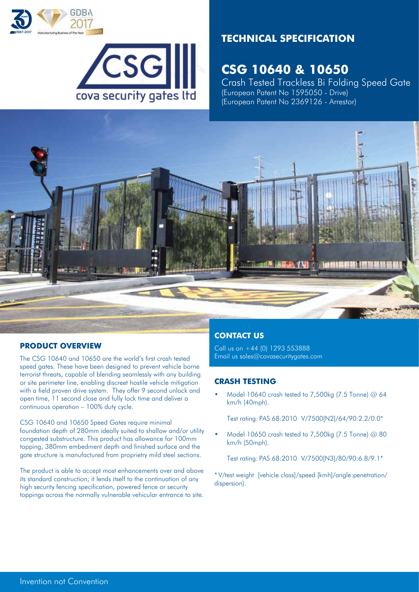



# **TECHNICAL SPECIFICATION**

# **CSG 10640 & 10650**

Crash Tested Trackless Bi Folding Speed Gate (European Patent No 1595050 - Drive) (European Patent No 2369126 - Arrestor)



# **PRODUCT OVERVIEW**

The CSG 10640 and 10650 are the world's first crash tested speed gates. These have been designed to prevent vehicle borne terrorist threats, capable of blending seamlessly with any building or site perimeter line, enabling discreet hostile vehicle mitigation with a field proven drive system. They offer 9 second unlock and open time, 11 second close and fully lock time and deliver a continuous operation – 100% duty cycle.

CSG 10640 and 10650 Speed Gates require minimal foundation depth of 280mm ideally suited to shallow and/or utility congested substructure. This product has allowance for 100mm topping, 380mm embedment depth and finished surface and the gate structure is manufactured from proprietry mild steel sections.

The product is able to accept most enhancements over and above its standard construction; it lends itself to the continuation of any high security fencing specification, powered fence or security toppings across the normally vulnerable vehicular entrance to site.

# **CONTACT US**

Call us on +44 (0) 1293 553888 Email us sales@covasecuritygates.com

#### **CRASH TESTING**

• Model 10640 crash tested to 7,500kg (7.5 Tonne) @ 64 km/h (40mph).

Test rating: PAS 68:2010 V/7500[N2]/64/90:2.2/0.0\*

• Model 10650 crash tested to 7,500kg (7.5 Tonne) @ 80 km/h (50mph).

Test rating: PAS 68:2010 V/7500[N3]/80/90:6.8/9.1\*

\* V/test weight [vehicle class]/speed [kmh]/angle:penetration/ dispersion).